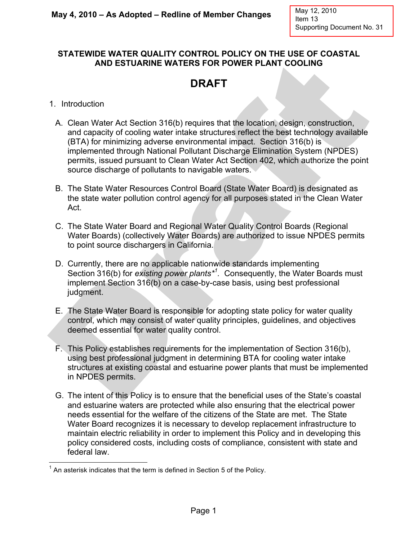## **STATEWIDE WATER QUALITY CONTROL POLICY ON THE USE OF COASTAL AND ESTUARINE WATERS FOR POWER PLANT COOLING**

## **DRAFT**

- 1. Introduction
	- A. Clean Water Act Section 316(b) requires that the location, design, construction, and capacity of cooling water intake structures reflect the best technology available (BTA) for minimizing adverse environmental impact. Section 316(b) is implemented through National Pollutant Discharge Elimination System (NPDES) permits, issued pursuant to Clean Water Act Section 402, which authorize the point source discharge of pollutants to navigable waters.
	- B. The State Water Resources Control Board (State Water Board) is designated as the state water pollution control agency for all purposes stated in the Clean Water Act.
	- C. The State Water Board and Regional Water Quality Control Boards (Regional Water Boards) (collectively Water Boards) are authorized to issue NPDES permits to point source dischargers in California.
	- D. Currently, there are no applicable nationwide standards implementing Section 316(b) for *existing power plants\*<sup>1</sup> .* Consequently, the Water Boards must implement Section 316(b) on a case-by-case basis, using best professional judgment.
	- E. The State Water Board is responsible for adopting state policy for water quality control, which may consist of water quality principles, guidelines, and objectives deemed essential for water quality control.
	- F. This Policy establishes requirements for the implementation of Section 316(b), using best professional judgment in determining BTA for cooling water intake structures at existing coastal and estuarine power plants that must be implemented in NPDES permits.
	- G. The intent of this Policy is to ensure that the beneficial uses of the State's coastal and estuarine waters are protected while also ensuring that the electrical power needs essential for the welfare of the citizens of the State are met. The State Water Board recognizes it is necessary to develop replacement infrastructure to maintain electric reliability in order to implement this Policy and in developing this policy considered costs, including costs of compliance, consistent with state and federal law.

The matter of the term is defined in Section 5 of the Policy.<br>Than asterisk indicates that the term is defined in Section 5 of the Policy.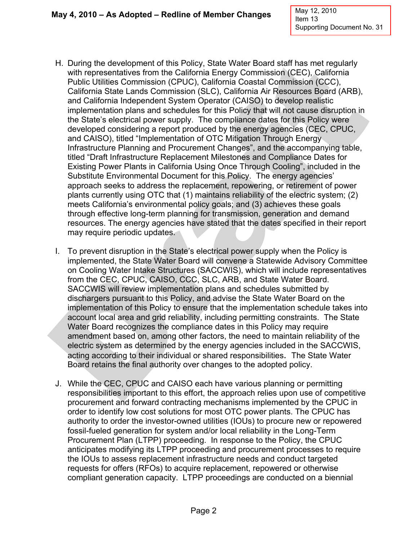- H. During the development of this Policy, State Water Board staff has met regularly with representatives from the California Energy Commission (CEC), California Public Utilities Commission (CPUC), California Coastal Commission (CCC), California State Lands Commission (SLC), California Air Resources Board (ARB), and California Independent System Operator (CAISO) to develop realistic implementation plans and schedules for this Policy that will not cause disruption in the State's electrical power supply. The compliance dates for this Policy were developed considering a report produced by the energy agencies (CEC, CPUC, and CAISO), titled "Implementation of OTC Mitigation Through Energy Infrastructure Planning and Procurement Changes", and the accompanying table, titled "Draft Infrastructure Replacement Milestones and Compliance Dates for Existing Power Plants in California Using Once Through Cooling", included in the Substitute Environmental Document for this Policy. The energy agencies' approach seeks to address the replacement, repowering, or retirement of power plants currently using OTC that (1) maintains reliability of the electric system; (2) meets California's environmental policy goals; and (3) achieves these goals through effective long-term planning for transmission, generation and demand resources. The energy agencies have stated that the dates specified in their report may require periodic updates.
- I. To prevent disruption in the State's electrical power supply when the Policy is implemented, the State Water Board will convene a Statewide Advisory Committee on Cooling Water Intake Structures (SACCWIS), which will include representatives from the CEC, CPUC, CAISO, CCC, SLC, ARB, and State Water Board. SACCWIS will review implementation plans and schedules submitted by dischargers pursuant to this Policy, and advise the State Water Board on the implementation of this Policy to ensure that the implementation schedule takes into account local area and grid reliability, including permitting constraints. The State Water Board recognizes the compliance dates in this Policy may require amendment based on, among other factors, the need to maintain reliability of the electric system as determined by the energy agencies included in the SACCWIS, acting according to their individual or shared responsibilities. The State Water Board retains the final authority over changes to the adopted policy.
- J. While the CEC, CPUC and CAISO each have various planning or permitting responsibilities important to this effort, the approach relies upon use of competitive procurement and forward contracting mechanisms implemented by the CPUC in order to identify low cost solutions for most OTC power plants. The CPUC has authority to order the investor-owned utilities (IOUs) to procure new or repowered fossil-fueled generation for system and/or local reliability in the Long-Term Procurement Plan (LTPP) proceeding. In response to the Policy, the CPUC anticipates modifying its LTPP proceeding and procurement processes to require the IOUs to assess replacement infrastructure needs and conduct targeted requests for offers (RFOs) to acquire replacement, repowered or otherwise compliant generation capacity. LTPP proceedings are conducted on a biennial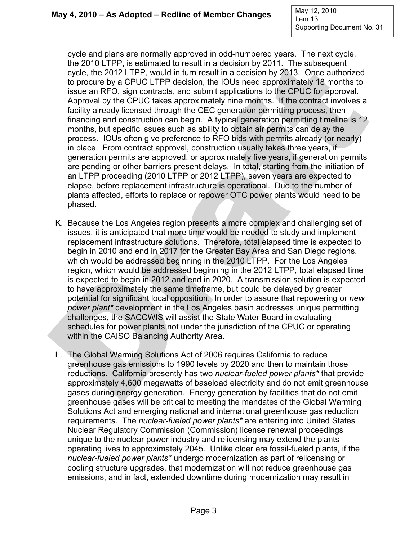cycle and plans are normally approved in odd-numbered years. The next cycle, the 2010 LTPP, is estimated to result in a decision by 2011. The subsequent cycle, the 2012 LTPP, would in turn result in a decision by 2013. Once authorized to procure by a CPUC LTPP decision, the IOUs need approximately 18 months to issue an RFO, sign contracts, and submit applications to the CPUC for approval. Approval by the CPUC takes approximately nine months. If the contract involves a facility already licensed through the CEC generation permitting process, then financing and construction can begin. A typical generation permitting timeline is 12 months, but specific issues such as ability to obtain air permits can delay the process. IOUs often give preference to RFO bids with permits already (or nearly) in place. From contract approval, construction usually takes three years, if generation permits are approved, or approximately five years, if generation permits are pending or other barriers present delays. In total, starting from the initiation of an LTPP proceeding (2010 LTPP or 2012 LTPP), seven years are expected to elapse, before replacement infrastructure is operational. Due to the number of plants affected, efforts to replace or repower OTC power plants would need to be phased.

- K. Because the Los Angeles region presents a more complex and challenging set of issues, it is anticipated that more time would be needed to study and implement replacement infrastructure solutions. Therefore, total elapsed time is expected to begin in 2010 and end in 2017 for the Greater Bay Area and San Diego regions, which would be addressed beginning in the 2010 LTPP. For the Los Angeles region, which would be addressed beginning in the 2012 LTPP, total elapsed time is expected to begin in 2012 and end in 2020. A transmission solution is expected to have approximately the same timeframe, but could be delayed by greater potential for significant local opposition. In order to assure that repowering or *new power plant\** development in the Los Angeles basin addresses unique permitting challenges, the SACCWIS will assist the State Water Board in evaluating schedules for power plants not under the jurisdiction of the CPUC or operating within the CAISO Balancing Authority Area.
- L. The Global Warming Solutions Act of 2006 requires California to reduce greenhouse gas emissions to 1990 levels by 2020 and then to maintain those reductions. California presently has two *nuclear-fueled power plants\** that provide approximately 4,600 megawatts of baseload electricity and do not emit greenhouse gases during energy generation. Energy generation by facilities that do not emit greenhouse gases will be critical to meeting the mandates of the Global Warming Solutions Act and emerging national and international greenhouse gas reduction requirements. The *nuclear-fueled power plants\** are entering into United States Nuclear Regulatory Commission (Commission) license renewal proceedings unique to the nuclear power industry and relicensing may extend the plants operating lives to approximately 2045. Unlike older era fossil-fueled plants, if the *nuclear-fueled power plants\** undergo modernization as part of relicensing or cooling structure upgrades, that modernization will not reduce greenhouse gas emissions, and in fact, extended downtime during modernization may result in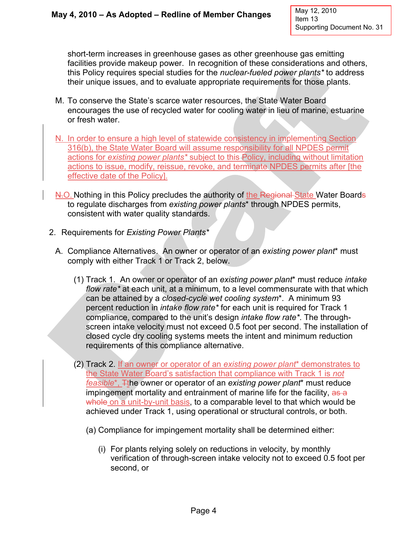short-term increases in greenhouse gases as other greenhouse gas emitting facilities provide makeup power. In recognition of these considerations and others, this Policy requires special studies for the *nuclear-fueled power plants\** to address their unique issues, and to evaluate appropriate requirements for those plants.

- M. To conserve the State's scarce water resources, the State Water Board encourages the use of recycled water for cooling water in lieu of marine, estuarine or fresh water.
- N. In order to ensure a high level of statewide consistency in implementing Section 316(b), the State Water Board will assume responsibility for all NPDES permit actions for *existing power plants\** subject to this Policy, including without limitation actions to issue, modify, reissue, revoke, and terminate NPDES permits after [the effective date of the Policy].
- N.O. Nothing in this Policy precludes the authority of the Regional State Water Boards to regulate discharges from *existing power plants*\* through NPDES permits, consistent with water quality standards.
- 2. Requirements for *Existing Power Plants\**
	- A. Compliance Alternatives. An owner or operator of an *existing power plant*\* must comply with either Track 1 or Track 2, below.
		- (1) Track 1. An owner or operator of an *existing power plant*\* must reduce *intake flow rate\** at each unit, at a minimum, to a level commensurate with that which can be attained by a *closed-cycle wet cooling system*\*. A minimum 93 percent reduction in *intake flow rate\** for each unit is required for Track 1 compliance, compared to the unit's design *intake flow rate\**. The throughscreen intake velocity must not exceed 0.5 foot per second. The installation of closed cycle dry cooling systems meets the intent and minimum reduction requirements of this compliance alternative.
		- (2) Track 2. If an owner or operator of an *existing power plant*\* demonstrates to the State Water Board's satisfaction that compliance with Track 1 is *not feasible*<sup>\*</sup>, The owner or operator of an *existing power plant*<sup>\*</sup> must reduce impingement mortality and entrainment of marine life for the facility, as a whole on a unit-by-unit basis, to a comparable level to that which would be achieved under Track 1, using operational or structural controls, or both.
			- (a) Compliance for impingement mortality shall be determined either:
				- (i) For plants relying solely on reductions in velocity, by monthly verification of through-screen intake velocity not to exceed 0.5 foot per second, or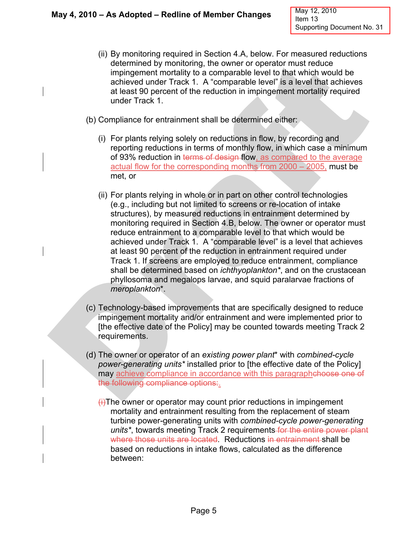- (ii) By monitoring required in Section 4.A, below. For measured reductions determined by monitoring, the owner or operator must reduce impingement mortality to a comparable level to that which would be achieved under Track 1. A "comparable level" is a level that achieves at least 90 percent of the reduction in impingement mortality required under Track 1.
- (b) Compliance for entrainment shall be determined either:
	- (i) For plants relying solely on reductions in flow, by recording and reporting reductions in terms of monthly flow, in which case a minimum of 93% reduction in terms of design flow, as compared to the average actual flow for the corresponding months from 2000 – 2005, must be met, or
	- (ii) For plants relying in whole or in part on other control technologies (e.g., including but not limited to screens or re-location of intake structures), by measured reductions in entrainment determined by monitoring required in Section 4.B, below. The owner or operator must reduce entrainment to a comparable level to that which would be achieved under Track 1. A "comparable level" is a level that achieves at least 90 percent of the reduction in entrainment required under Track 1. If screens are employed to reduce entrainment, compliance shall be determined based on *ichthyoplankton\**, and on the crustacean phyllosoma and megalops larvae, and squid paralarvae fractions of *meroplankton*\*.
- (c) Technology-based improvements that are specifically designed to reduce impingement mortality and/or entrainment and were implemented prior to [the effective date of the Policy] may be counted towards meeting Track 2 requirements.
- (d) The owner or operator of an *existing power plant*\* with *combined-cycle power-generating units\** installed prior to [the effective date of the Policy] may achieve compliance in accordance with this paragraphehoose one of the following compliance options:.
	- $\leftrightarrow$ The owner or operator may count prior reductions in impingement mortality and entrainment resulting from the replacement of steam turbine power-generating units with *combined-cycle power-generating units\**, towards meeting Track 2 requirements for the entire power plant where those units are located. Reductions in entrainment shall be based on reductions in intake flows, calculated as the difference between: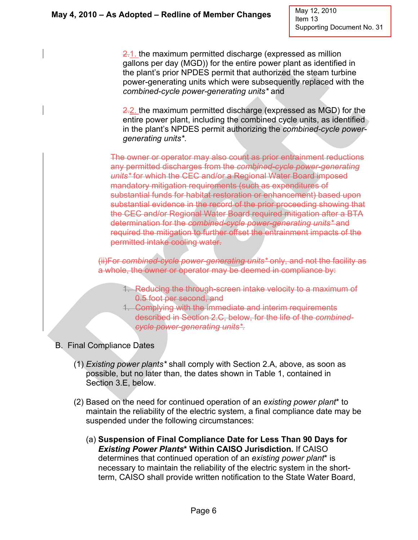May 12, 2010 Item 13 Supporting Document No. 31

2.1. the maximum permitted discharge (expressed as million gallons per day (MGD)) for the entire power plant as identified in the plant's prior NPDES permit that authorized the steam turbine power-generating units which were subsequently replaced with the *combined-cycle power-generating units\** and

2.2. the maximum permitted discharge (expressed as MGD) for the entire power plant, including the combined cycle units, as identified in the plant's NPDES permit authorizing the *combined-cycle powergenerating units\**.

The owner or operator may also count as prior entrainment reductions any permitted discharges from the *combined-cycle power-generating units\** for which the CEC and/or a Regional Water Board imposed mandatory mitigation requirements (such as expenditures of substantial funds for habitat restoration or enhancement) based upon substantial evidence in the record of the prior proceeding showing that the CEC and/or Regional Water Board required mitigation after a BTA determination for the *combined-cycle power-generating units\** and required the mitigation to further offset the entrainment impacts of the permitted intake cooling water.

(ii)For *combined-cycle power-generating units\** only, and not the facility as a whole, the owner or operator may be deemed in compliance by:

- 1. Reducing the through-screen intake velocity to a maximum of 0.5 foot per second, and
- 1. Complying with the immediate and interim requirements described in Section 2.C, below, for the life of the *combinedcycle power-generating units\*.*
- B. Final Compliance Dates
	- (1) *Existing power plants\** shall comply with Section 2.A, above, as soon as possible, but no later than, the dates shown in Table 1, contained in Section 3.E, below.
	- (2) Based on the need for continued operation of an *existing power plant*\* to maintain the reliability of the electric system, a final compliance date may be suspended under the following circumstances:
		- (a) **Suspension of Final Compliance Date for Less Than 90 Days for**  *Existing Power Plants***\* Within CAISO Jurisdiction.** If CAISO determines that continued operation of an *existing power plant*\* is necessary to maintain the reliability of the electric system in the shortterm, CAISO shall provide written notification to the State Water Board,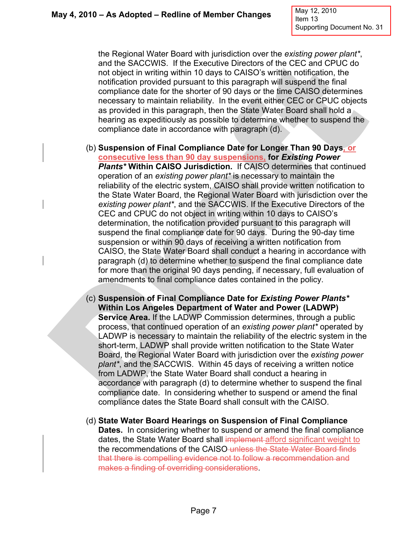May 12, 2010 Item 13 Supporting Document No. 31

the Regional Water Board with jurisdiction over the *existing power plant\**, and the SACCWIS. If the Executive Directors of the CEC and CPUC do not object in writing within 10 days to CAISO's written notification, the notification provided pursuant to this paragraph will suspend the final compliance date for the shorter of 90 days or the time CAISO determines necessary to maintain reliability. In the event either CEC or CPUC objects as provided in this paragraph, then the State Water Board shall hold a hearing as expeditiously as possible to determine whether to suspend the compliance date in accordance with paragraph (d).

- (b) **Suspension of Final Compliance Date for Longer Than 90 Days, or consecutive less than 90 day suspensions, for** *Existing Power Plants\** **Within CAISO Jurisdiction.** If CAISO determines that continued operation of an *existing power plant\** is necessary to maintain the reliability of the electric system, CAISO shall provide written notification to the State Water Board, the Regional Water Board with jurisdiction over the *existing power plant\**, and the SACCWIS. If the Executive Directors of the CEC and CPUC do not object in writing within 10 days to CAISO's determination, the notification provided pursuant to this paragraph will suspend the final compliance date for 90 days. During the 90-day time suspension or within 90 days of receiving a written notification from CAISO, the State Water Board shall conduct a hearing in accordance with paragraph (d) to determine whether to suspend the final compliance date for more than the original 90 days pending, if necessary, full evaluation of amendments to final compliance dates contained in the policy.
- (c) **Suspension of Final Compliance Date for** *Existing Power Plants\** **Within Los Angeles Department of Water and Power (LADWP) Service Area.** If the LADWP Commission determines, through a public process, that continued operation of an *existing power plant\** operated by LADWP is necessary to maintain the reliability of the electric system in the short-term, LADWP shall provide written notification to the State Water Board, the Regional Water Board with jurisdiction over the *existing power plant\**, and the SACCWIS. Within 45 days of receiving a written notice from LADWP, the State Water Board shall conduct a hearing in accordance with paragraph (d) to determine whether to suspend the final compliance date. In considering whether to suspend or amend the final compliance dates the State Board shall consult with the CAISO.
- (d) **State Water Board Hearings on Suspension of Final Compliance Dates.** In considering whether to suspend or amend the final compliance dates, the State Water Board shall implement afford significant weight to the recommendations of the CAISO-unless the State Water Board finds that there is compelling evidence not to follow a recommendation and makes a finding of overriding considerations.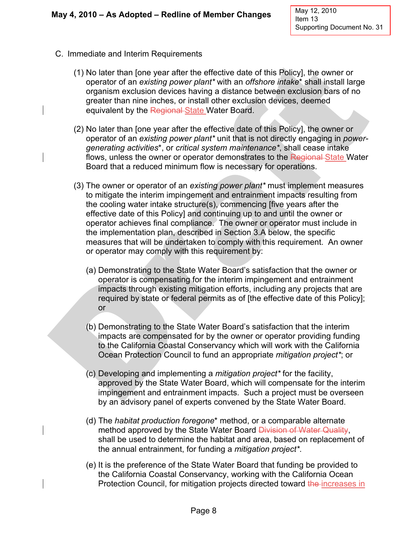- C. Immediate and Interim Requirements
	- (1) No later than [one year after the effective date of this Policy], the owner or operator of an *existing power plant\** with an *offshore intake*\* shall install large organism exclusion devices having a distance between exclusion bars of no greater than nine inches, or install other exclusion devices, deemed equivalent by the Regional State Water Board.
	- (2) No later than [one year after the effective date of this Policy], the owner or operator of an *existing power plant\** unit that is not directly engaging in *powergenerating activities*\*, or *critical system maintenance\**, shall cease intake flows, unless the owner or operator demonstrates to the Regional State Water Board that a reduced minimum flow is necessary for operations.
	- (3) The owner or operator of an *existing power plant\** must implement measures to mitigate the interim impingement and entrainment impacts resulting from the cooling water intake structure(s), commencing [five years after the effective date of this Policy] and continuing up to and until the owner or operator achieves final compliance. The owner or operator must include in the implementation plan, described in Section 3.A below, the specific measures that will be undertaken to comply with this requirement. An owner or operator may comply with this requirement by:
		- (a) Demonstrating to the State Water Board's satisfaction that the owner or operator is compensating for the interim impingement and entrainment impacts through existing mitigation efforts, including any projects that are required by state or federal permits as of [the effective date of this Policy]; or
		- (b) Demonstrating to the State Water Board's satisfaction that the interim impacts are compensated for by the owner or operator providing funding to the California Coastal Conservancy which will work with the California Ocean Protection Council to fund an appropriate *mitigation project\**; or
		- (c) Developing and implementing a *mitigation project\** for the facility, approved by the State Water Board, which will compensate for the interim impingement and entrainment impacts. Such a project must be overseen by an advisory panel of experts convened by the State Water Board.
		- (d) The *habitat production foregone*\* method, or a comparable alternate method approved by the State Water Board Division of Water Quality, shall be used to determine the habitat and area, based on replacement of the annual entrainment, for funding a *mitigation project\**.
		- (e) It is the preference of the State Water Board that funding be provided to the California Coastal Conservancy, working with the California Ocean Protection Council, for mitigation projects directed toward the increases in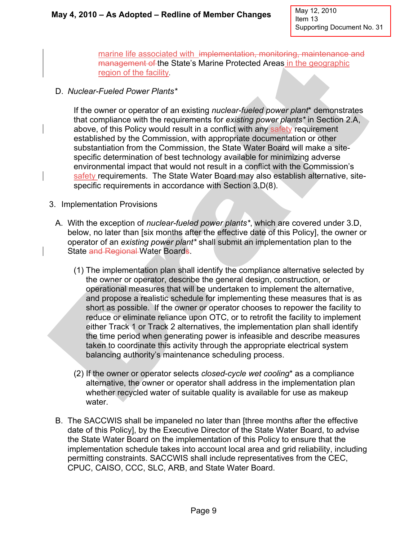marine life associated with implementation, monitoring, maintenance and management of the State's Marine Protected Areas in the geographic region of the facility.

D. *Nuclear-Fueled Power Plants\**

If the owner or operator of an existing *nuclear-fueled power plant*\* demonstrates that compliance with the requirements for *existing power plants\** in Section 2.A, above, of this Policy would result in a conflict with any safety requirement established by the Commission, with appropriate documentation or other substantiation from the Commission, the State Water Board will make a sitespecific determination of best technology available for minimizing adverse environmental impact that would not result in a conflict with the Commission's safety requirements. The State Water Board may also establish alternative, sitespecific requirements in accordance with Section 3.D(8).

- 3. Implementation Provisions
	- A. With the exception of *nuclear-fueled power plants\**, which are covered under 3.D, below, no later than [six months after the effective date of this Policy], the owner or operator of an *existing power plant\** shall submit an implementation plan to the State and Regional Water Boards.
		- (1) The implementation plan shall identify the compliance alternative selected by the owner or operator, describe the general design, construction, or operational measures that will be undertaken to implement the alternative, and propose a realistic schedule for implementing these measures that is as short as possible. If the owner or operator chooses to repower the facility to reduce or eliminate reliance upon OTC, or to retrofit the facility to implement either Track 1 or Track 2 alternatives, the implementation plan shall identify the time period when generating power is infeasible and describe measures taken to coordinate this activity through the appropriate electrical system balancing authority's maintenance scheduling process.
		- (2) If the owner or operator selects *closed-cycle wet cooling*\* as a compliance alternative, the owner or operator shall address in the implementation plan whether recycled water of suitable quality is available for use as makeup water.
	- B. The SACCWIS shall be impaneled no later than [three months after the effective date of this Policy], by the Executive Director of the State Water Board, to advise the State Water Board on the implementation of this Policy to ensure that the implementation schedule takes into account local area and grid reliability, including permitting constraints. SACCWIS shall include representatives from the CEC, CPUC, CAISO, CCC, SLC, ARB, and State Water Board.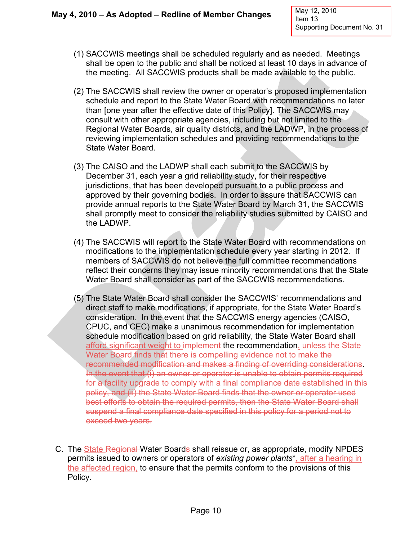- (1) SACCWIS meetings shall be scheduled regularly and as needed. Meetings shall be open to the public and shall be noticed at least 10 days in advance of the meeting. All SACCWIS products shall be made available to the public.
- (2) The SACCWIS shall review the owner or operator's proposed implementation schedule and report to the State Water Board with recommendations no later than [one year after the effective date of this Policy]. The SACCWIS may consult with other appropriate agencies, including but not limited to the Regional Water Boards, air quality districts, and the LADWP, in the process of reviewing implementation schedules and providing recommendations to the State Water Board.
- (3) The CAISO and the LADWP shall each submit to the SACCWIS by December 31, each year a grid reliability study, for their respective jurisdictions, that has been developed pursuant to a public process and approved by their governing bodies. In order to assure that SACCWIS can provide annual reports to the State Water Board by March 31, the SACCWIS shall promptly meet to consider the reliability studies submitted by CAISO and the LADWP.
- (4) The SACCWIS will report to the State Water Board with recommendations on modifications to the implementation schedule every year starting in 2012. If members of SACCWIS do not believe the full committee recommendations reflect their concerns they may issue minority recommendations that the State Water Board shall consider as part of the SACCWIS recommendations.
- (5) The State Water Board shall consider the SACCWIS' recommendations and direct staff to make modifications, if appropriate, for the State Water Board's consideration. In the event that the SACCWIS energy agencies (CAISO, CPUC, and CEC) make a unanimous recommendation for implementation schedule modification based on grid reliability, the State Water Board shall afford significant weight to implement the recommendation. unless the State Water Board finds that there is compelling evidence not to make the recommended modification and makes a finding of overriding considerations. In the event that (i) an owner or operator is unable to obtain permits required for a facility upgrade to comply with a final compliance date established in this policy, and (ii) the State Water Board finds that the owner or operator used best efforts to obtain the required permits, then the State Water Board shall suspend a final compliance date specified in this policy for a period not to exceed two years.
- C. The State Regional Water Boards shall reissue or, as appropriate, modify NPDES permits issued to owners or operators of *existing power plants*\**,* after a hearing in the affected region, to ensure that the permits conform to the provisions of this Policy.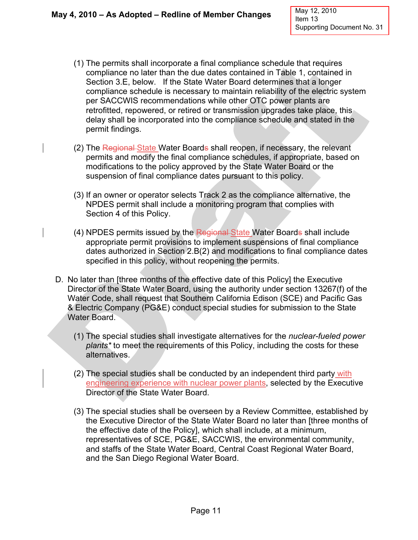- (1) The permits shall incorporate a final compliance schedule that requires compliance no later than the due dates contained in Table 1, contained in Section 3.E, below. If the State Water Board determines that a longer compliance schedule is necessary to maintain reliability of the electric system per SACCWIS recommendations while other OTC power plants are retrofitted, repowered, or retired or transmission upgrades take place, this delay shall be incorporated into the compliance schedule and stated in the permit findings.
- (2) The Regional State Water Boards shall reopen, if necessary, the relevant permits and modify the final compliance schedules, if appropriate, based on modifications to the policy approved by the State Water Board or the suspension of final compliance dates pursuant to this policy.
- (3) If an owner or operator selects Track 2 as the compliance alternative, the NPDES permit shall include a monitoring program that complies with Section 4 of this Policy.
- (4) NPDES permits issued by the Regional State Water Boards shall include appropriate permit provisions to implement suspensions of final compliance dates authorized in Section 2.B(2) and modifications to final compliance dates specified in this policy, without reopening the permits.
- D. No later than [three months of the effective date of this Policy] the Executive Director of the State Water Board, using the authority under section 13267(f) of the Water Code, shall request that Southern California Edison (SCE) and Pacific Gas & Electric Company (PG&E) conduct special studies for submission to the State Water Board.
	- (1) The special studies shall investigate alternatives for the *nuclear-fueled power plants\** to meet the requirements of this Policy, including the costs for these alternatives.
	- (2) The special studies shall be conducted by an independent third party with engineering experience with nuclear power plants, selected by the Executive Director of the State Water Board.
	- (3) The special studies shall be overseen by a Review Committee, established by the Executive Director of the State Water Board no later than [three months of the effective date of the Policy], which shall include, at a minimum, representatives of SCE, PG&E, SACCWIS, the environmental community, and staffs of the State Water Board, Central Coast Regional Water Board, and the San Diego Regional Water Board.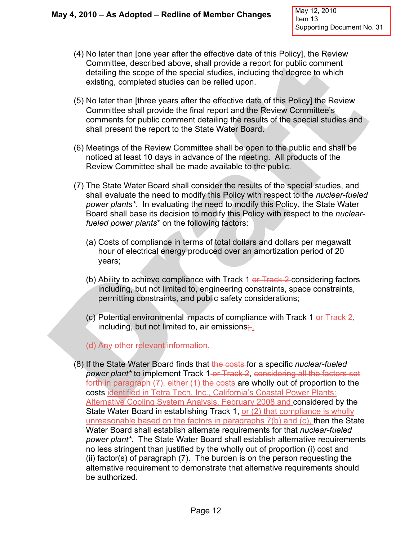- (4) No later than [one year after the effective date of this Policy], the Review Committee, described above, shall provide a report for public comment detailing the scope of the special studies, including the degree to which existing, completed studies can be relied upon.
- (5) No later than [three years after the effective date of this Policy] the Review Committee shall provide the final report and the Review Committee's comments for public comment detailing the results of the special studies and shall present the report to the State Water Board.
- (6) Meetings of the Review Committee shall be open to the public and shall be noticed at least 10 days in advance of the meeting. All products of the Review Committee shall be made available to the public.
- (7) The State Water Board shall consider the results of the special studies, and shall evaluate the need to modify this Policy with respect to the *nuclear-fueled power plants\**. In evaluating the need to modify this Policy, the State Water Board shall base its decision to modify this Policy with respect to the *nuclearfueled power plants*\* on the following factors:
	- (a) Costs of compliance in terms of total dollars and dollars per megawatt hour of electrical energy produced over an amortization period of 20 years;
	- (b) Ability to achieve compliance with Track 1  $er$  Track 2 considering factors including, but not limited to, engineering constraints, space constraints, permitting constraints, and public safety considerations;
	- (c) Potential environmental impacts of compliance with Track 1 or Track 2, including, but not limited to, air emissions $\div$ .
	- (d) Any other relevant information.
- (8) If the State Water Board finds that the costs for a specific *nuclear-fueled power plant\** to implement Track 1-<del>or Track 2, considering all the factors set</del> forth in paragraph (7), either (1) the costs are wholly out of proportion to the costs identified in Tetra Tech, Inc., California's Coastal Power Plants: Alternative Cooling System Analysis, February 2008 and considered by the State Water Board in establishing Track 1, or (2) that compliance is wholly unreasonable based on the factors in paragraphs 7(b) and (c), then the State Water Board shall establish alternate requirements for that *nuclear-fueled power plant\**. The State Water Board shall establish alternative requirements no less stringent than justified by the wholly out of proportion (i) cost and (ii) factor(s) of paragraph (7). The burden is on the person requesting the alternative requirement to demonstrate that alternative requirements should be authorized.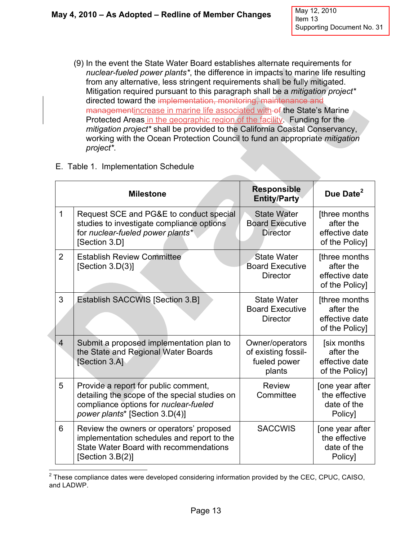(9) In the event the State Water Board establishes alternate requirements for *nuclear-fueled power plants\**, the difference in impacts to marine life resulting from any alternative, less stringent requirements shall be fully mitigated. Mitigation required pursuant to this paragraph shall be a *mitigation project\** directed toward the implementation, monitoring, maintenance and managementincrease in marine life associated with of the State's Marine Protected Areas in the geographic region of the facility. Funding for the *mitigation project\** shall be provided to the California Coastal Conservancy, working with the Ocean Protection Council to fund an appropriate *mitigation project\**.

|  | E. Table 1. Implementation Schedule |
|--|-------------------------------------|
|  |                                     |

|                | <b>Milestone</b>                                                                                                                                                 | <b>Responsible</b><br><b>Entity/Party</b>                        | Due Date <sup>2</sup>                                          |
|----------------|------------------------------------------------------------------------------------------------------------------------------------------------------------------|------------------------------------------------------------------|----------------------------------------------------------------|
| $\mathbf{1}$   | Request SCE and PG&E to conduct special<br>studies to investigate compliance options<br>for nuclear-fueled power plants*<br>[Section 3.D]                        | <b>State Water</b><br><b>Board Executive</b><br><b>Director</b>  | [three months<br>after the<br>effective date<br>of the Policy] |
| $\overline{2}$ | <b>Establish Review Committee</b><br>[Section $3.D(3)$ ]                                                                                                         | <b>State Water</b><br><b>Board Executive</b><br><b>Director</b>  | [three months<br>after the<br>effective date<br>of the Policy] |
| 3              | <b>Establish SACCWIS [Section 3.B]</b>                                                                                                                           | <b>State Water</b><br><b>Board Executive</b><br><b>Director</b>  | [three months<br>after the<br>effective date<br>of the Policy] |
| $\overline{4}$ | Submit a proposed implementation plan to<br>the State and Regional Water Boards<br>[Section 3.A]                                                                 | Owner/operators<br>of existing fossil-<br>fueled power<br>plants | [six months<br>after the<br>effective date<br>of the Policy]   |
| 5              | Provide a report for public comment,<br>detailing the scope of the special studies on<br>compliance options for nuclear-fueled<br>power plants* [Section 3.D(4)] | <b>Review</b><br>Committee                                       | [one year after<br>the effective<br>date of the<br>Policy]     |
| 6              | Review the owners or operators' proposed<br>implementation schedules and report to the<br>State Water Board with recommendations<br>[Section 3.B(2)]             | <b>SACCWIS</b>                                                   | [one year after<br>the effective<br>date of the<br>Policy]     |

 $\overline{a}$  $2$  These compliance dates were developed considering information provided by the CEC, CPUC, CAISO, and LADWP.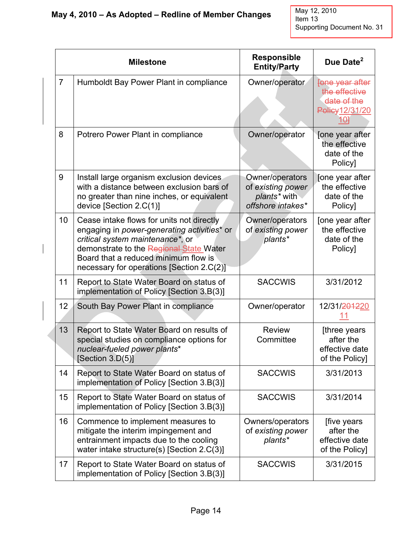|                | <b>Milestone</b> |                                                                                                                                                                                                                                                              | <b>Responsible</b><br><b>Entity/Party</b>                                 | Due Date <sup>2</sup>                                                     |
|----------------|------------------|--------------------------------------------------------------------------------------------------------------------------------------------------------------------------------------------------------------------------------------------------------------|---------------------------------------------------------------------------|---------------------------------------------------------------------------|
| $\overline{7}$ |                  | Humboldt Bay Power Plant in compliance                                                                                                                                                                                                                       | Owner/operator                                                            | Fone year after<br>the effective<br>date of the<br>Policy 12/31/20<br>104 |
| 8              |                  | Potrero Power Plant in compliance                                                                                                                                                                                                                            | Owner/operator                                                            | [one year after<br>the effective<br>date of the<br>Policy]                |
| 9              |                  | Install large organism exclusion devices<br>with a distance between exclusion bars of<br>no greater than nine inches, or equivalent<br>device [Section 2.C(1)]                                                                                               | Owner/operators<br>of existing power<br>plants* with<br>offshore intakes* | Jone year after<br>the effective<br>date of the<br>Policy]                |
|                | 10               | Cease intake flows for units not directly<br>engaging in power-generating activities* or<br>critical system maintenance*, or<br>demonstrate to the Regional State Water<br>Board that a reduced minimum flow is<br>necessary for operations [Section 2.C(2)] | Owner/operators<br>of existing power<br>plants*                           | [one year after<br>the effective<br>date of the<br>Policy]                |
|                | 11               | Report to State Water Board on status of<br>implementation of Policy [Section 3.B(3)]                                                                                                                                                                        | <b>SACCWIS</b>                                                            | 3/31/2012                                                                 |
|                | 12               | South Bay Power Plant in compliance                                                                                                                                                                                                                          | Owner/operator                                                            | 12/31/ <del>2012</del> 20<br>11                                           |
|                | 13               | Report to State Water Board on results of<br>special studies on compliance options for<br>nuclear-fueled power plants*<br>[Section 3.D(5)]                                                                                                                   | <b>Review</b><br>Committee                                                | [three years<br>after the<br>effective date<br>of the Policy]             |
|                | 14               | Report to State Water Board on status of<br>implementation of Policy [Section 3.B(3)]                                                                                                                                                                        | <b>SACCWIS</b>                                                            | 3/31/2013                                                                 |
|                | 15               | Report to State Water Board on status of<br>implementation of Policy [Section 3.B(3)]                                                                                                                                                                        | <b>SACCWIS</b>                                                            | 3/31/2014                                                                 |
|                | 16               | Commence to implement measures to<br>mitigate the interim impingement and<br>entrainment impacts due to the cooling<br>water intake structure(s) [Section 2.C(3)]                                                                                            | Owners/operators<br>of existing power<br>plants*                          | [five years<br>after the<br>effective date<br>of the Policy]              |
|                | 17               | Report to State Water Board on status of<br>implementation of Policy [Section 3.B(3)]                                                                                                                                                                        | <b>SACCWIS</b>                                                            | 3/31/2015                                                                 |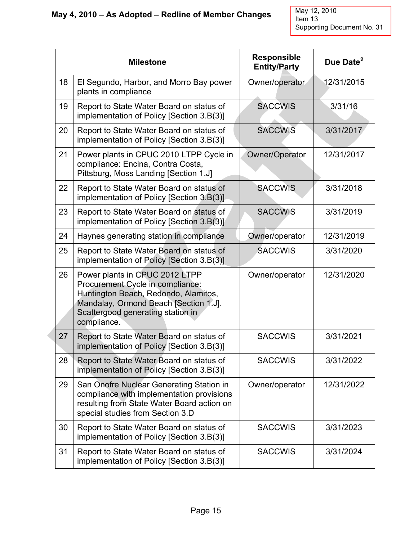|    | <b>Milestone</b>                                                                                                                                                                                        | <b>Responsible</b><br><b>Entity/Party</b> | Due Date <sup>2</sup> |
|----|---------------------------------------------------------------------------------------------------------------------------------------------------------------------------------------------------------|-------------------------------------------|-----------------------|
| 18 | El Segundo, Harbor, and Morro Bay power<br>plants in compliance                                                                                                                                         | Owner/operator                            | 12/31/2015            |
| 19 | Report to State Water Board on status of<br>implementation of Policy [Section 3.B(3)]                                                                                                                   | <b>SACCWIS</b>                            | 3/31/16               |
| 20 | Report to State Water Board on status of<br>implementation of Policy [Section 3.B(3)]                                                                                                                   | <b>SACCWIS</b>                            | 3/31/2017             |
| 21 | Power plants in CPUC 2010 LTPP Cycle in<br>compliance: Encina, Contra Costa,<br>Pittsburg, Moss Landing [Section 1.J]                                                                                   | Owner/Operator                            | 12/31/2017            |
| 22 | Report to State Water Board on status of<br>implementation of Policy [Section 3.B(3)]                                                                                                                   | <b>SACCWIS</b>                            | 3/31/2018             |
| 23 | Report to State Water Board on status of<br>implementation of Policy [Section 3.B(3)]                                                                                                                   | <b>SACCWIS</b>                            | 3/31/2019             |
| 24 | Haynes generating station in compliance                                                                                                                                                                 | Owner/operator                            | 12/31/2019            |
| 25 | Report to State Water Board on status of<br>implementation of Policy [Section 3.B(3)]                                                                                                                   | <b>SACCWIS</b>                            | 3/31/2020             |
| 26 | Power plants in CPUC 2012 LTPP<br>Procurement Cycle in compliance:<br>Huntington Beach, Redondo, Alamitos,<br>Mandalay, Ormond Beach [Section 1.J].<br>Scattergood generating station in<br>compliance. | Owner/operator                            | 12/31/2020            |
| 27 | Report to State Water Board on status of<br>implementation of Policy [Section 3.B(3)]                                                                                                                   | <b>SACCWIS</b>                            | 3/31/2021             |
| 28 | Report to State Water Board on status of<br>implementation of Policy [Section 3.B(3)]                                                                                                                   | <b>SACCWIS</b>                            | 3/31/2022             |
| 29 | San Onofre Nuclear Generating Station in<br>compliance with implementation provisions<br>resulting from State Water Board action on<br>special studies from Section 3.D                                 | Owner/operator                            | 12/31/2022            |
| 30 | Report to State Water Board on status of<br>implementation of Policy [Section 3.B(3)]                                                                                                                   | <b>SACCWIS</b>                            | 3/31/2023             |
| 31 | Report to State Water Board on status of<br>implementation of Policy [Section 3.B(3)]                                                                                                                   | <b>SACCWIS</b>                            | 3/31/2024             |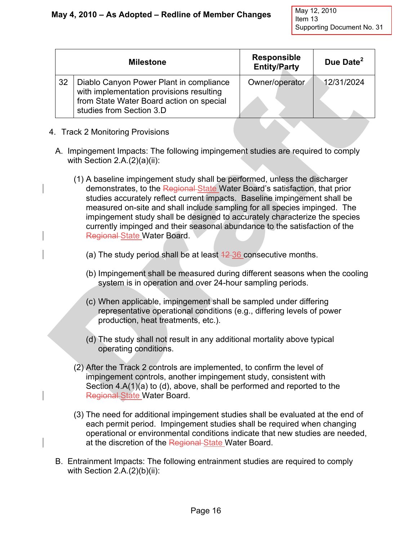| <b>Milestone</b> |                                                                                                                                                             | <b>Responsible</b><br><b>Entity/Party</b> | Due Date <sup>2</sup> |
|------------------|-------------------------------------------------------------------------------------------------------------------------------------------------------------|-------------------------------------------|-----------------------|
| 32               | Diablo Canyon Power Plant in compliance<br>with implementation provisions resulting<br>from State Water Board action on special<br>studies from Section 3.D | Owner/operator                            | 12/31/2024            |

- 4. Track 2 Monitoring Provisions
	- A. Impingement Impacts: The following impingement studies are required to comply with Section 2.A.(2)(a)(ii):
		- (1) A baseline impingement study shall be performed, unless the discharger demonstrates, to the Regional State Water Board's satisfaction, that prior studies accurately reflect current impacts. Baseline impingement shall be measured on-site and shall include sampling for all species impinged. The impingement study shall be designed to accurately characterize the species currently impinged and their seasonal abundance to the satisfaction of the Regional State Water Board.
			- (a) The study period shall be at least  $42-36$  consecutive months.
			- (b) Impingement shall be measured during different seasons when the cooling system is in operation and over 24-hour sampling periods.
			- (c) When applicable, impingement shall be sampled under differing representative operational conditions (e.g., differing levels of power production, heat treatments, etc.).
			- (d) The study shall not result in any additional mortality above typical operating conditions.
		- (2) After the Track 2 controls are implemented, to confirm the level of impingement controls, another impingement study, consistent with Section 4.A(1)(a) to (d), above, shall be performed and reported to the Regional State Water Board.
		- (3) The need for additional impingement studies shall be evaluated at the end of each permit period. Impingement studies shall be required when changing operational or environmental conditions indicate that new studies are needed, at the discretion of the Regional State Water Board.
	- B. Entrainment Impacts: The following entrainment studies are required to comply with Section 2.A.(2)(b)(ii):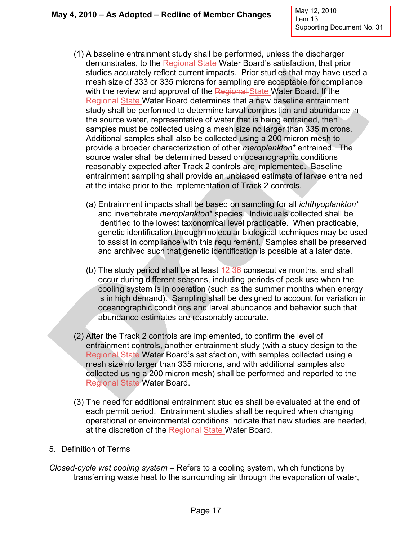- (1) A baseline entrainment study shall be performed, unless the discharger demonstrates, to the Regional State Water Board's satisfaction, that prior studies accurately reflect current impacts. Prior studies that may have used a mesh size of 333 or 335 microns for sampling are acceptable for compliance with the review and approval of the Regional State Water Board. If the Regional State Water Board determines that a new baseline entrainment study shall be performed to determine larval composition and abundance in the source water, representative of water that is being entrained, then samples must be collected using a mesh size no larger than 335 microns. Additional samples shall also be collected using a 200 micron mesh to provide a broader characterization of other *meroplankton\** entrained. The source water shall be determined based on oceanographic conditions reasonably expected after Track 2 controls are implemented. Baseline entrainment sampling shall provide an unbiased estimate of larvae entrained at the intake prior to the implementation of Track 2 controls.
	- (a) Entrainment impacts shall be based on sampling for all *ichthyoplankton*\* and invertebrate *meroplankton*\* species. Individuals collected shall be identified to the lowest taxonomical level practicable. When practicable, genetic identification through molecular biological techniques may be used to assist in compliance with this requirement. Samples shall be preserved and archived such that genetic identification is possible at a later date.
	- (b) The study period shall be at least  $\frac{12}{36}$  consecutive months, and shall occur during different seasons, including periods of peak use when the cooling system is in operation (such as the summer months when energy is in high demand). Sampling shall be designed to account for variation in oceanographic conditions and larval abundance and behavior such that abundance estimates are reasonably accurate.
- (2) After the Track 2 controls are implemented, to confirm the level of entrainment controls, another entrainment study (with a study design to the Regional State Water Board's satisfaction, with samples collected using a mesh size no larger than 335 microns, and with additional samples also collected using a 200 micron mesh) shall be performed and reported to the Regional State Water Board.
- (3) The need for additional entrainment studies shall be evaluated at the end of each permit period. Entrainment studies shall be required when changing operational or environmental conditions indicate that new studies are needed, at the discretion of the Regional-State Water Board.
- 5. Definition of Terms
- *Closed-cycle wet cooling system* Refers to a cooling system, which functions by transferring waste heat to the surrounding air through the evaporation of water,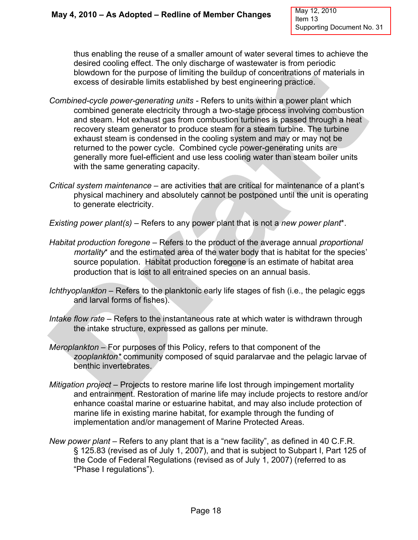thus enabling the reuse of a smaller amount of water several times to achieve the desired cooling effect. The only discharge of wastewater is from periodic blowdown for the purpose of limiting the buildup of concentrations of materials in excess of desirable limits established by best engineering practice.

- *Combined-cycle power-generating units* Refers to units within a power plant which combined generate electricity through a two-stage process involving combustion and steam. Hot exhaust gas from combustion turbines is passed through a heat recovery steam generator to produce steam for a steam turbine. The turbine exhaust steam is condensed in the cooling system and may or may not be returned to the power cycle. Combined cycle power-generating units are generally more fuel-efficient and use less cooling water than steam boiler units with the same generating capacity.
- *Critical system maintenance* are activities that are critical for maintenance of a plant's physical machinery and absolutely cannot be postponed until the unit is operating to generate electricity.

*Existing power plant(s)* – Refers to any power plant that is not a *new power plant*\*.

- *Habitat production foregone* Refers to the product of the average annual *proportional mortality*\* and the estimated area of the water body that is habitat for the species' source population. Habitat production foregone is an estimate of habitat area production that is lost to all entrained species on an annual basis.
- *Ichthyoplankton* Refers to the planktonic early life stages of fish (i.e., the pelagic eggs and larval forms of fishes).
- *Intake flow rate*  Refers to the instantaneous rate at which water is withdrawn through the intake structure, expressed as gallons per minute.
- *Meroplankton* For purposes of this Policy, refers to that component of the *zooplankton\** community composed of squid paralarvae and the pelagic larvae of benthic invertebrates.
- *Mitigation project* Projects to restore marine life lost through impingement mortality and entrainment. Restoration of marine life may include projects to restore and/or enhance coastal marine or estuarine habitat, and may also include protection of marine life in existing marine habitat, for example through the funding of implementation and/or management of Marine Protected Areas.
- *New power plant* Refers to any plant that is a "new facility", as defined in 40 C.F.R. § 125.83 (revised as of July 1, 2007), and that is subject to Subpart I, Part 125 of the Code of Federal Regulations (revised as of July 1, 2007) (referred to as "Phase I regulations").